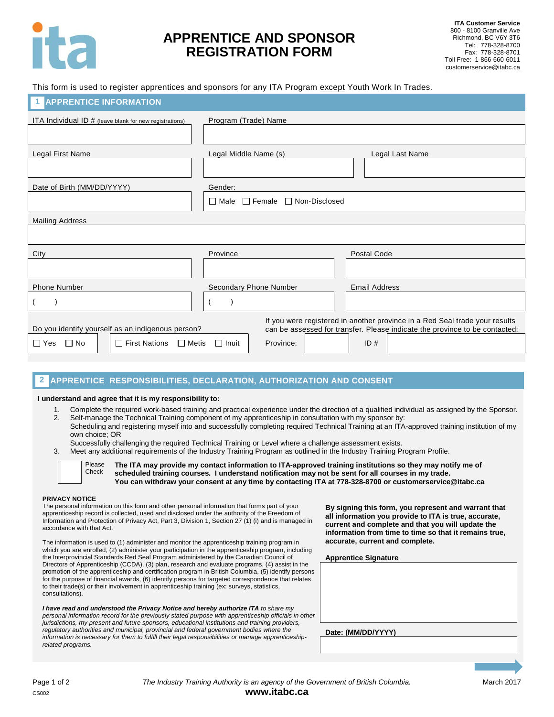

## **APPRENTICE AND SPONSOR REGISTRATION FORM**

This form is used to register apprentices and sponsors for any ITA Program except Youth Work In Trades.

| <b>APPRENTICE INFORMATION</b>                                                                                                                                                                                   |                                                   |                      |  |  |
|-----------------------------------------------------------------------------------------------------------------------------------------------------------------------------------------------------------------|---------------------------------------------------|----------------------|--|--|
| ITA Individual ID # (leave blank for new registrations)                                                                                                                                                         | Program (Trade) Name                              |                      |  |  |
|                                                                                                                                                                                                                 |                                                   |                      |  |  |
| Legal First Name                                                                                                                                                                                                | Legal Middle Name (s)                             | Legal Last Name      |  |  |
|                                                                                                                                                                                                                 |                                                   |                      |  |  |
| Date of Birth (MM/DD/YYYY)                                                                                                                                                                                      | Gender:                                           |                      |  |  |
|                                                                                                                                                                                                                 | $\Box$ Female $\Box$ Non-Disclosed<br>$\Box$ Male |                      |  |  |
| <b>Mailing Address</b>                                                                                                                                                                                          |                                                   |                      |  |  |
|                                                                                                                                                                                                                 |                                                   |                      |  |  |
| City                                                                                                                                                                                                            | Province                                          | <b>Postal Code</b>   |  |  |
|                                                                                                                                                                                                                 |                                                   |                      |  |  |
| <b>Phone Number</b>                                                                                                                                                                                             | Secondary Phone Number                            | <b>Email Address</b> |  |  |
|                                                                                                                                                                                                                 |                                                   |                      |  |  |
| If you were registered in another province in a Red Seal trade your results<br>can be assessed for transfer. Please indicate the province to be contacted:<br>Do you identify yourself as an indigenous person? |                                                   |                      |  |  |
| $\Box$ Yes<br>$\Box$ No<br>$\Box$ First Nations $\Box$ Metis                                                                                                                                                    | $\Box$ Inuit<br>Province:                         | ID#                  |  |  |

#### **APPRENTICE RESPONSIBILITIES, DECLARATION, AUTHORIZATION AND CONSENT 2**

## **I understand and agree that it is my responsibility to:**

- 1. Complete the required work-based training and practical experience under the direction of a qualified individual as assigned by the Sponsor. 2. Self-manage the Technical Training component of my apprenticeship in consultation with my sponsor by:
- Scheduling and registering myself into and successfully completing required Technical Training at an ITA-approved training institution of my own choice; OR
	- Successfully challenging the required Technical Training or Level where a challenge assessment exists.
- 3. Meet any additional requirements of the Industry Training Program as outlined in the Industry Training Program Profile.



**The ITA may provide my contact information to ITA-approved training institutions so they may notify me of scheduled training courses. I understand notification may not be sent for all courses in my trade. You can withdraw your consent at any time by contacting ITA at 778-328-8700 or customerservice@itabc.ca**

## **PRIVACY NOTICE**

The personal information on this form and other personal information that forms part of your apprenticeship record is collected, used and disclosed under the authority of the Freedom of Information and Protection of Privacy Act, Part 3, Division 1, Section 27 (1) (i) and is managed in accordance with that Act.

The information is used to (1) administer and monitor the apprenticeship training program in which you are enrolled, (2) administer your participation in the apprenticeship program, including the Interprovincial Standards Red Seal Program administered by the Canadian Council of Directors of Apprenticeship (CCDA), (3) plan, research and evaluate programs, (4) assist in the promotion of the apprenticeship and certification program in British Columbia, (5) identify persons for the purpose of financial awards, (6) identify persons for targeted correspondence that relates to their trade(s) or their involvement in apprenticeship training (ex: surveys, statistics, consultations).

*I have read and understood the Privacy Notice and hereby authorize ITA to share my personal information record for the previously stated purpose with apprenticeship officials in other jurisdictions, my present and future sponsors, educational institutions and training providers, regulatory authorities and municipal, provincial and federal government bodies where the information is necessary for them to fulfill their legal responsibilities or manage apprenticeshiprelated programs.*

**By signing this form, you represent and warrant that all information you provide to ITA is true, accurate, current and complete and that you will update the information from time to time so that it remains true, accurate, current and complete.**

**Apprentice Signature**

**Date: (MM/DD/YYYY)**